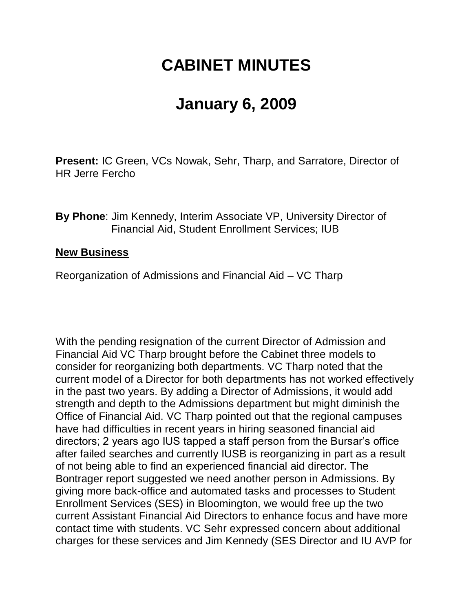## **CABINET MINUTES**

## **January 6, 2009**

**Present:** IC Green, VCs Nowak, Sehr, Tharp, and Sarratore, Director of HR Jerre Fercho

**By Phone**: Jim Kennedy, Interim Associate VP, University Director of Financial Aid, Student Enrollment Services; IUB

## **New Business**

Reorganization of Admissions and Financial Aid – VC Tharp

With the pending resignation of the current Director of Admission and Financial Aid VC Tharp brought before the Cabinet three models to consider for reorganizing both departments. VC Tharp noted that the current model of a Director for both departments has not worked effectively in the past two years. By adding a Director of Admissions, it would add strength and depth to the Admissions department but might diminish the Office of Financial Aid. VC Tharp pointed out that the regional campuses have had difficulties in recent years in hiring seasoned financial aid directors; 2 years ago IUS tapped a staff person from the Bursar's office after failed searches and currently IUSB is reorganizing in part as a result of not being able to find an experienced financial aid director. The Bontrager report suggested we need another person in Admissions. By giving more back-office and automated tasks and processes to Student Enrollment Services (SES) in Bloomington, we would free up the two current Assistant Financial Aid Directors to enhance focus and have more contact time with students. VC Sehr expressed concern about additional charges for these services and Jim Kennedy (SES Director and IU AVP for